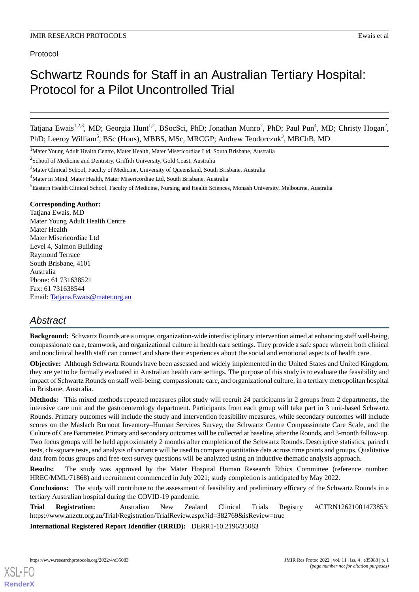# Protocol

# Schwartz Rounds for Staff in an Australian Tertiary Hospital: Protocol for a Pilot Uncontrolled Trial

Tatjana Ewais<sup>1,2,3</sup>, MD; Georgia Hunt<sup>1,2</sup>, BSocSci, PhD; Jonathan Munro<sup>2</sup>, PhD; Paul Pun<sup>4</sup>, MD; Christy Hogan<sup>2</sup>, PhD; Leeroy William<sup>5</sup>, BSc (Hons), MBBS, MSc, MRCGP; Andrew Teodorczuk<sup>3</sup>, MBChB, MD

<sup>1</sup>Mater Young Adult Health Centre, Mater Health, Mater Misericordiae Ltd, South Brisbane, Australia

<sup>2</sup>School of Medicine and Dentistry, Griffith University, Gold Coast, Australia

#### **Corresponding Author:**

Tatjana Ewais, MD Mater Young Adult Health Centre Mater Health Mater Misericordiae Ltd Level 4, Salmon Building Raymond Terrace South Brisbane, 4101 Australia Phone: 61 731638521 Fax: 61 731638544 Email: [Tatjana.Ewais@mater.org.au](mailto:Tatjana.Ewais@mater.org.au)

# *Abstract*

**Background:** Schwartz Rounds are a unique, organization-wide interdisciplinary intervention aimed at enhancing staff well-being, compassionate care, teamwork, and organizational culture in health care settings. They provide a safe space wherein both clinical and nonclinical health staff can connect and share their experiences about the social and emotional aspects of health care.

**Objective:** Although Schwartz Rounds have been assessed and widely implemented in the United States and United Kingdom, they are yet to be formally evaluated in Australian health care settings. The purpose of this study is to evaluate the feasibility and impact of Schwartz Rounds on staff well-being, compassionate care, and organizational culture, in a tertiary metropolitan hospital in Brisbane, Australia.

**Methods:** This mixed methods repeated measures pilot study will recruit 24 participants in 2 groups from 2 departments, the intensive care unit and the gastroenterology department. Participants from each group will take part in 3 unit-based Schwartz Rounds. Primary outcomes will include the study and intervention feasibility measures, while secondary outcomes will include scores on the Maslach Burnout Inventory–Human Services Survey, the Schwartz Centre Compassionate Care Scale, and the Culture of Care Barometer. Primary and secondary outcomes will be collected at baseline, after the Rounds, and 3-month follow-up. Two focus groups will be held approximately 2 months after completion of the Schwartz Rounds. Descriptive statistics, paired t tests, chi-square tests, and analysis of variance will be used to compare quantitative data across time points and groups. Qualitative data from focus groups and free-text survey questions will be analyzed using an inductive thematic analysis approach.

**Results:** The study was approved by the Mater Hospital Human Research Ethics Committee (reference number: HREC/MML/71868) and recruitment commenced in July 2021; study completion is anticipated by May 2022.

**Conclusions:** The study will contribute to the assessment of feasibility and preliminary efficacy of the Schwartz Rounds in a tertiary Australian hospital during the COVID-19 pandemic.

**Trial Registration:** Australian New Zealand Clinical Trials Registry ACTRN12621001473853; https://www.anzctr.org.au/Trial/Registration/TrialReview.aspx?id=382769&isReview=true

**International Registered Report Identifier (IRRID):** DERR1-10.2196/35083

<sup>&</sup>lt;sup>3</sup>Mater Clinical School, Faculty of Medicine, University of Queensland, South Brisbane, Australia

<sup>&</sup>lt;sup>4</sup>Mater in Mind, Mater Health, Mater Misericordiae Ltd, South Brisbane, Australia

<sup>5</sup>Eastern Health Clinical School, Faculty of Medicine, Nursing and Health Sciences, Monash University, Melbourne, Australia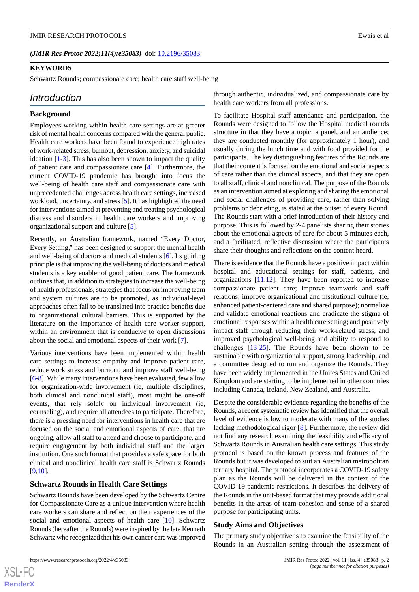#### (JMIR Res Protoc 2022;11(4):e35083) doi: [10.2196/35083](http://dx.doi.org/10.2196/35083)

#### **KEYWORDS**

Schwartz Rounds; compassionate care; health care staff well-being

#### *Introduction*

#### **Background**

Employees working within health care settings are at greater risk of mental health concerns compared with the general public. Health care workers have been found to experience high rates of work-related stress, burnout, depression, anxiety, and suicidal ideation [[1-](#page-7-0)[3](#page-7-1)]. This has also been shown to impact the quality of patient care and compassionate care [\[4](#page-7-2)]. Furthermore, the current COVID-19 pandemic has brought into focus the well-being of health care staff and compassionate care with unprecedented challenges across health care settings, increased workload, uncertainty, and stress [\[5\]](#page-7-3). It has highlighted the need for interventions aimed at preventing and treating psychological distress and disorders in health care workers and improving organizational support and culture [\[5](#page-7-3)].

Recently, an Australian framework, named "Every Doctor, Every Setting," has been designed to support the mental health and well-being of doctors and medical students [[6\]](#page-7-4). Its guiding principle is that improving the well-being of doctors and medical students is a key enabler of good patient care. The framework outlines that, in addition to strategies to increase the well-being of health professionals, strategies that focus on improving team and system cultures are to be promoted, as individual-level approaches often fail to be translated into practice benefits due to organizational cultural barriers. This is supported by the literature on the importance of health care worker support, within an environment that is conducive to open discussions about the social and emotional aspects of their work [\[7\]](#page-7-5).

Various interventions have been implemented within health care settings to increase empathy and improve patient care, reduce work stress and burnout, and improve staff well-being [[6-](#page-7-4)[8](#page-7-6)]. While many interventions have been evaluated, few allow for organization-wide involvement (ie, multiple disciplines, both clinical and nonclinical staff), most might be one-off events, that rely solely on individual involvement (ie, counseling), and require all attendees to participate. Therefore, there is a pressing need for interventions in health care that are focused on the social and emotional aspects of care, that are ongoing, allow all staff to attend and choose to participate, and require engagement by both individual staff and the larger institution. One such format that provides a safe space for both clinical and nonclinical health care staff is Schwartz Rounds [[9](#page-7-7)[,10](#page-7-8)].

#### **Schwartz Rounds in Health Care Settings**

Schwartz Rounds have been developed by the Schwartz Centre for Compassionate Care as a unique intervention where health care workers can share and reflect on their experiences of the social and emotional aspects of health care [\[10](#page-7-8)]. Schwartz Rounds (hereafter the Rounds) were inspired by the late Kenneth Schwartz who recognized that his own cancer care was improved

through authentic, individualized, and compassionate care by health care workers from all professions.

To facilitate Hospital staff attendance and participation, the Rounds were designed to follow the Hospital medical rounds structure in that they have a topic, a panel, and an audience; they are conducted monthly (for approximately 1 hour), and usually during the lunch time and with food provided for the participants. The key distinguishing features of the Rounds are that their content is focused on the emotional and social aspects of care rather than the clinical aspects, and that they are open to all staff, clinical and nonclinical. The purpose of the Rounds as an intervention aimed at exploring and sharing the emotional and social challenges of providing care, rather than solving problems or debriefing, is stated at the outset of every Round. The Rounds start with a brief introduction of their history and purpose. This is followed by 2-4 panelists sharing their stories about the emotional aspects of care for about 5 minutes each, and a facilitated, reflective discussion where the participants share their thoughts and reflections on the content heard.

There is evidence that the Rounds have a positive impact within hospital and educational settings for staff, patients, and organizations [\[11](#page-7-9),[12\]](#page-7-10). They have been reported to increase compassionate patient care; improve teamwork and staff relations; improve organizational and institutional culture (ie, enhanced patient-centered care and shared purpose); normalize and validate emotional reactions and eradicate the stigma of emotional responses within a health care setting; and positively impact staff through reducing their work-related stress, and improved psychological well-being and ability to respond to challenges [\[13](#page-7-11)[-25](#page-8-0)]. The Rounds have been shown to be sustainable with organizational support, strong leadership, and a committee designed to run and organize the Rounds. They have been widely implemented in the Unites States and United Kingdom and are starting to be implemented in other countries including Canada, Ireland, New Zealand, and Australia.

Despite the considerable evidence regarding the benefits of the Rounds, a recent systematic review has identified that the overall level of evidence is low to moderate with many of the studies lacking methodological rigor [\[8\]](#page-7-6). Furthermore, the review did not find any research examining the feasibility and efficacy of Schwartz Rounds in Australian health care settings. This study protocol is based on the known process and features of the Rounds but it was developed to suit an Australian metropolitan tertiary hospital. The protocol incorporates a COVID-19 safety plan as the Rounds will be delivered in the context of the COVID-19 pandemic restrictions. It describes the delivery of the Rounds in the unit-based format that may provide additional benefits in the areas of team cohesion and sense of a shared purpose for participating units.

#### **Study Aims and Objectives**

The primary study objective is to examine the feasibility of the Rounds in an Australian setting through the assessment of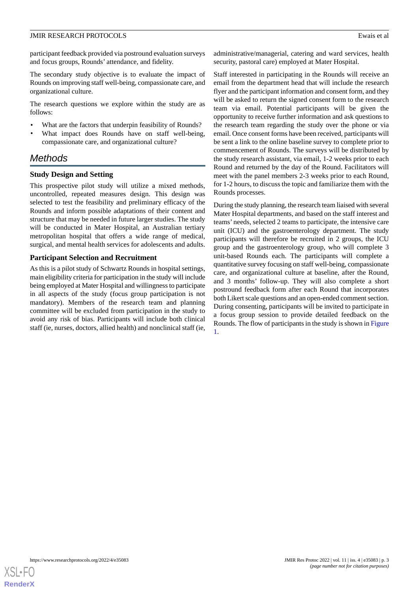participant feedback provided via postround evaluation surveys and focus groups, Rounds' attendance, and fidelity.

The secondary study objective is to evaluate the impact of Rounds on improving staff well-being, compassionate care, and organizational culture.

The research questions we explore within the study are as follows:

- What are the factors that underpin feasibility of Rounds?
- What impact does Rounds have on staff well-being, compassionate care, and organizational culture?

# *Methods*

### **Study Design and Setting**

This prospective pilot study will utilize a mixed methods, uncontrolled, repeated measures design. This design was selected to test the feasibility and preliminary efficacy of the Rounds and inform possible adaptations of their content and structure that may be needed in future larger studies. The study will be conducted in Mater Hospital, an Australian tertiary metropolitan hospital that offers a wide range of medical, surgical, and mental health services for adolescents and adults.

### **Participant Selection and Recruitment**

As this is a pilot study of Schwartz Rounds in hospital settings, main eligibility criteria for participation in the study will include being employed at Mater Hospital and willingness to participate in all aspects of the study (focus group participation is not mandatory). Members of the research team and planning committee will be excluded from participation in the study to avoid any risk of bias. Participants will include both clinical staff (ie, nurses, doctors, allied health) and nonclinical staff (ie, administrative/managerial, catering and ward services, health security, pastoral care) employed at Mater Hospital.

Staff interested in participating in the Rounds will receive an email from the department head that will include the research flyer and the participant information and consent form, and they will be asked to return the signed consent form to the research team via email. Potential participants will be given the opportunity to receive further information and ask questions to the research team regarding the study over the phone or via email. Once consent forms have been received, participants will be sent a link to the online baseline survey to complete prior to commencement of Rounds. The surveys will be distributed by the study research assistant, via email, 1-2 weeks prior to each Round and returned by the day of the Round. Facilitators will meet with the panel members 2-3 weeks prior to each Round, for 1-2 hours, to discuss the topic and familiarize them with the Rounds processes.

During the study planning, the research team liaised with several Mater Hospital departments, and based on the staff interest and teams' needs, selected 2 teams to participate, the intensive care unit (ICU) and the gastroenterology department. The study participants will therefore be recruited in 2 groups, the ICU group and the gastroenterology group, who will complete 3 unit-based Rounds each. The participants will complete a quantitative survey focusing on staff well-being, compassionate care, and organizational culture at baseline, after the Round, and 3 months' follow-up. They will also complete a short postround feedback form after each Round that incorporates both Likert scale questions and an open-ended comment section. During consenting, participants will be invited to participate in a focus group session to provide detailed feedback on the Rounds. The flow of participants in the study is shown in [Figure](#page-3-0) [1.](#page-3-0)

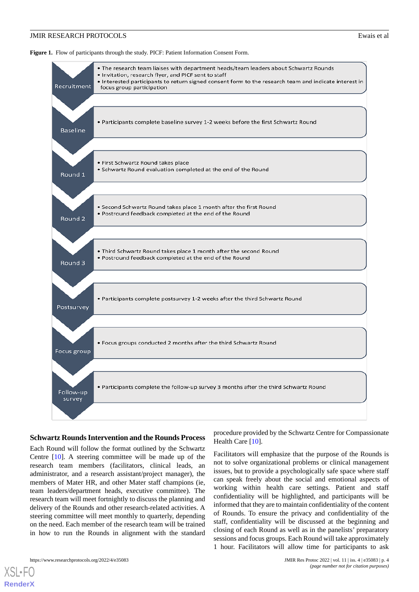<span id="page-3-0"></span>Figure 1. Flow of participants through the study. PICF: Patient Information Consent Form.



#### **Schwartz Rounds Intervention and the Rounds Process**

Each Round will follow the format outlined by the Schwartz Centre [\[10](#page-7-8)]. A steering committee will be made up of the research team members (facilitators, clinical leads, an administrator, and a research assistant/project manager), the members of Mater HR, and other Mater staff champions (ie, team leaders/department heads, executive committee). The research team will meet fortnightly to discuss the planning and delivery of the Rounds and other research-related activities. A steering committee will meet monthly to quarterly, depending on the need. Each member of the research team will be trained in how to run the Rounds in alignment with the standard

procedure provided by the Schwartz Centre for Compassionate Health Care [[10\]](#page-7-8).

Facilitators will emphasize that the purpose of the Rounds is not to solve organizational problems or clinical management issues, but to provide a psychologically safe space where staff can speak freely about the social and emotional aspects of working within health care settings. Patient and staff confidentiality will be highlighted, and participants will be informed that they are to maintain confidentiality of the content of Rounds. To ensure the privacy and confidentiality of the staff, confidentiality will be discussed at the beginning and closing of each Round as well as in the panelists' preparatory sessions and focus groups. Each Round will take approximately 1 hour. Facilitators will allow time for participants to ask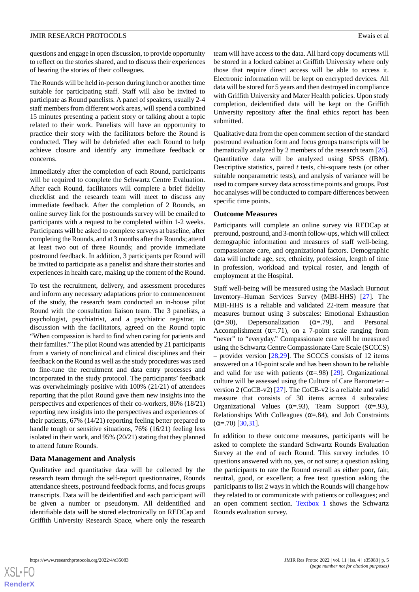questions and engage in open discussion, to provide opportunity to reflect on the stories shared, and to discuss their experiences of hearing the stories of their colleagues.

The Rounds will be held in-person during lunch or another time suitable for participating staff. Staff will also be invited to participate as Round panelists. A panel of speakers, usually 2-4 staff members from different work areas, will spend a combined 15 minutes presenting a patient story or talking about a topic related to their work. Panelists will have an opportunity to practice their story with the facilitators before the Round is conducted. They will be debriefed after each Round to help achieve closure and identify any immediate feedback or concerns.

Immediately after the completion of each Round, participants will be required to complete the Schwartz Centre Evaluation. After each Round, facilitators will complete a brief fidelity checklist and the research team will meet to discuss any immediate feedback. After the completion of 2 Rounds, an online survey link for the postrounds survey will be emailed to participants with a request to be completed within 1-2 weeks. Participants will be asked to complete surveys at baseline, after completing the Rounds, and at 3 months after the Rounds; attend at least two out of three Rounds; and provide immediate postround feedback. In addition, 3 participants per Round will be invited to participate as a panelist and share their stories and experiences in health care, making up the content of the Round.

To test the recruitment, delivery, and assessment procedures and inform any necessary adaptations prior to commencement of the study, the research team conducted an in-house pilot Round with the consultation liaison team. The 3 panelists, a psychologist, psychiatrist, and a psychiatric registrar, in discussion with the facilitators, agreed on the Round topic "When compassion is hard to find when caring for patients and their families." The pilot Round was attended by 21 participants from a variety of nonclinical and clinical disciplines and their feedback on the Round as well as the study procedures was used to fine-tune the recruitment and data entry processes and incorporated in the study protocol. The participants' feedback was overwhelmingly positive with 100% (21/21) of attendees reporting that the pilot Round gave them new insights into the perspectives and experiences of their co-workers, 86% (18/21) reporting new insights into the perspectives and experiences of their patients, 67% (14/21) reporting feeling better prepared to handle tough or sensitive situations, 76% (16/21) feeling less isolated in their work, and 95% (20/21) stating that they planned to attend future Rounds.

#### **Data Management and Analysis**

Qualitative and quantitative data will be collected by the research team through the self-report questionnaires, Rounds attendance sheets, postround feedback forms, and focus groups transcripts. Data will be deidentified and each participant will be given a number or pseudonym. All deidentified and identifiable data will be stored electronically on REDCap and Griffith University Research Space, where only the research

team will have access to the data. All hard copy documents will be stored in a locked cabinet at Griffith University where only those that require direct access will be able to access it. Electronic information will be kept on encrypted devices. All data will be stored for 5 years and then destroyed in compliance with Griffith University and Mater Health policies. Upon study completion, deidentified data will be kept on the Griffith University repository after the final ethics report has been submitted.

Qualitative data from the open comment section of the standard postround evaluation form and focus groups transcripts will be thematically analyzed by 2 members of the research team [[26\]](#page-8-1). Quantitative data will be analyzed using SPSS (IBM). Descriptive statistics, paired *t* tests, chi-square tests (or other suitable nonparametric tests), and analysis of variance will be used to compare survey data across time points and groups. Post hoc analyses will be conducted to compare differences between specific time points.

#### **Outcome Measures**

Participants will complete an online survey via REDCap at preround, postround, and 3-month follow-ups, which will collect demographic information and measures of staff well-being, compassionate care, and organizational factors. Demographic data will include age, sex, ethnicity, profession, length of time in profession, workload and typical roster, and length of employment at the Hospital.

Staff well-being will be measured using the Maslach Burnout Inventory–Human Services Survey (MBI-HHS) [\[27](#page-8-2)]. The MBI-HHS is a reliable and validated 22-item measure that measures burnout using 3 subscales: Emotional Exhaustion ( $\alpha = .90$ ), Depersonalization ( $\alpha = .79$ ), and Personal Accomplishment ( $\alpha = .71$ ), on a 7-point scale ranging from "never" to "everyday." Compassionate care will be measured using the Schwartz Centre Compassionate Care Scale (SCCCS) – provider version [\[28](#page-8-3),[29\]](#page-8-4). The SCCCS consists of 12 items answered on a 10-point scale and has been shown to be reliable and valid for use with patients  $(\alpha = .98)$  [[29\]](#page-8-4). Organizational culture will be assessed using the Culture of Care Barometer – version 2 (CoCB-v2) [[27\]](#page-8-2). The CoCB-v2 is a reliable and valid measure that consists of 30 items across 4 subscales: Organizational Values ( $\alpha = .93$ ), Team Support ( $\alpha = .93$ ), Relationships With Colleagues ( $\alpha$ =.84), and Job Constraints  $(\alpha = .70)$  [[30,](#page-8-5)[31](#page-8-6)].

In addition to these outcome measures, participants will be asked to complete the standard Schwartz Rounds Evaluation Survey at the end of each Round. This survey includes 10 questions answered with no, yes, or not sure; a question asking the participants to rate the Round overall as either poor, fair, neutral, good, or excellent; a free text question asking the participants to list 2 ways in which the Rounds will change how they related to or communicate with patients or colleagues; and an open comment section. [Textbox 1](#page-5-0) shows the Schwartz Rounds evaluation survey.



**[RenderX](http://www.renderx.com/)**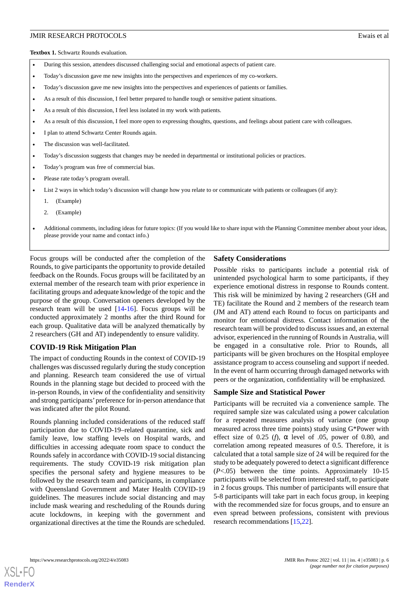<span id="page-5-0"></span>**Textbox 1.** Schwartz Rounds evaluation.

- During this session, attendees discussed challenging social and emotional aspects of patient care.
- Today's discussion gave me new insights into the perspectives and experiences of my co-workers.
- Today's discussion gave me new insights into the perspectives and experiences of patients or families.
- As a result of this discussion, I feel better prepared to handle tough or sensitive patient situations.
- As a result of this discussion, I feel less isolated in my work with patients.
- As a result of this discussion, I feel more open to expressing thoughts, questions, and feelings about patient care with colleagues.
- I plan to attend Schwartz Center Rounds again.
- The discussion was well-facilitated.
- Today's discussion suggests that changes may be needed in departmental or institutional policies or practices.
- Today's program was free of commercial bias.
- Please rate today's program overall.
- List 2 ways in which today's discussion will change how you relate to or communicate with patients or colleagues (if any):
	- 1. (Example)
	- 2. (Example)
- Additional comments, including ideas for future topics: (If you would like to share input with the Planning Committee member about your ideas, please provide your name and contact info.)

Focus groups will be conducted after the completion of the Rounds, to give participants the opportunity to provide detailed feedback on the Rounds. Focus groups will be facilitated by an external member of the research team with prior experience in facilitating groups and adequate knowledge of the topic and the purpose of the group. Conversation openers developed by the research team will be used [[14-](#page-7-12)[16](#page-7-13)]. Focus groups will be conducted approximately 2 months after the third Round for each group. Qualitative data will be analyzed thematically by 2 researchers (GH and AT) independently to ensure validity.

#### **COVID-19 Risk Mitigation Plan**

The impact of conducting Rounds in the context of COVID-19 challenges was discussed regularly during the study conception and planning. Research team considered the use of virtual Rounds in the planning stage but decided to proceed with the in-person Rounds, in view of the confidentiality and sensitivity and strong participants'preference for in-person attendance that was indicated after the pilot Round.

Rounds planning included considerations of the reduced staff participation due to COVID-19–related quarantine, sick and family leave, low staffing levels on Hospital wards, and difficulties in accessing adequate room space to conduct the Rounds safely in accordance with COVID-19 social distancing requirements. The study COVID-19 risk mitigation plan specifies the personal safety and hygiene measures to be followed by the research team and participants, in compliance with Queensland Government and Mater Health COVID-19 guidelines. The measures include social distancing and may include mask wearing and rescheduling of the Rounds during acute lockdowns, in keeping with the government and organizational directives at the time the Rounds are scheduled.

#### **Safety Considerations**

Possible risks to participants include a potential risk of unintended psychological harm to some participants, if they experience emotional distress in response to Rounds content. This risk will be minimized by having 2 researchers (GH and TE) facilitate the Round and 2 members of the research team (JM and AT) attend each Round to focus on participants and monitor for emotional distress. Contact information of the research team will be provided to discuss issues and, an external advisor, experienced in the running of Rounds in Australia, will be engaged in a consultative role. Prior to Rounds, all participants will be given brochures on the Hospital employee assistance program to access counseling and support if needed. In the event of harm occurring through damaged networks with peers or the organization, confidentiality will be emphasized.

#### **Sample Size and Statistical Power**

Participants will be recruited via a convenience sample. The required sample size was calculated using a power calculation for a repeated measures analysis of variance (one group measured across three time points) study using G\*Power with effect size of 0.25 (*f*),  $\alpha$  level of .05, power of 0.80, and correlation among repeated measures of 0.5. Therefore, it is calculated that a total sample size of 24 will be required for the study to be adequately powered to detect a significant difference (*P*<.05) between the time points. Approximately 10-15 participants will be selected from interested staff, to participate in 2 focus groups. This number of participants will ensure that 5-8 participants will take part in each focus group, in keeping with the recommended size for focus groups, and to ensure an even spread between professions, consistent with previous research recommendations [\[15](#page-7-14),[22\]](#page-8-7).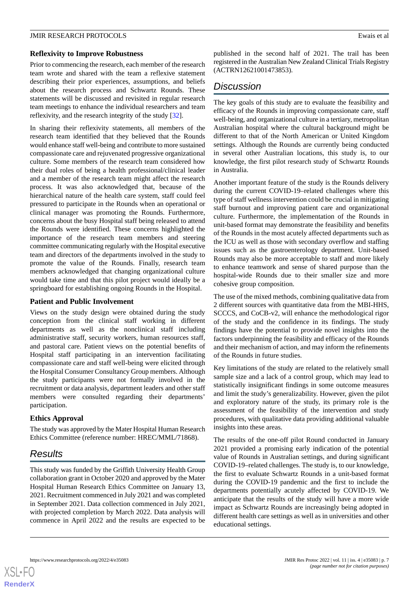#### **Reflexivity to Improve Robustness**

Prior to commencing the research, each member of the research team wrote and shared with the team a reflexive statement describing their prior experiences, assumptions, and beliefs about the research process and Schwartz Rounds. These statements will be discussed and revisited in regular research team meetings to enhance the individual researchers and team reflexivity, and the research integrity of the study [[32\]](#page-8-8).

In sharing their reflexivity statements, all members of the research team identified that they believed that the Rounds would enhance staff well-being and contribute to more sustained compassionate care and rejuvenated progressive organizational culture. Some members of the research team considered how their dual roles of being a health professional/clinical leader and a member of the research team might affect the research process. It was also acknowledged that, because of the hierarchical nature of the health care system, staff could feel pressured to participate in the Rounds when an operational or clinical manager was promoting the Rounds. Furthermore, concerns about the busy Hospital staff being released to attend the Rounds were identified. These concerns highlighted the importance of the research team members and steering committee communicating regularly with the Hospital executive team and directors of the departments involved in the study to promote the value of the Rounds. Finally, research team members acknowledged that changing organizational culture would take time and that this pilot project would ideally be a springboard for establishing ongoing Rounds in the Hospital.

#### **Patient and Public Involvement**

Views on the study design were obtained during the study conception from the clinical staff working in different departments as well as the nonclinical staff including administrative staff, security workers, human resources staff, and pastoral care. Patient views on the potential benefits of Hospital staff participating in an intervention facilitating compassionate care and staff well-being were elicited through the Hospital Consumer Consultancy Group members. Although the study participants were not formally involved in the recruitment or data analysis, department leaders and other staff members were consulted regarding their departments' participation.

# **Ethics Approval**

The study was approved by the Mater Hospital Human Research Ethics Committee (reference number: HREC/MML/71868).

# *Results*

This study was funded by the Griffith University Health Group collaboration grant in October 2020 and approved by the Mater Hospital Human Research Ethics Committee on January 13, 2021. Recruitment commenced in July 2021 and was completed in September 2021. Data collection commenced in July 2021, with projected completion by March 2022. Data analysis will commence in April 2022 and the results are expected to be

published in the second half of 2021. The trail has been registered in the Australian New Zealand Clinical Trials Registry (ACTRN12621001473853).

# *Discussion*

The key goals of this study are to evaluate the feasibility and efficacy of the Rounds in improving compassionate care, staff well-being, and organizational culture in a tertiary, metropolitan Australian hospital where the cultural background might be different to that of the North American or United Kingdom settings. Although the Rounds are currently being conducted in several other Australian locations, this study is, to our knowledge, the first pilot research study of Schwartz Rounds in Australia.

Another important feature of the study is the Rounds delivery during the current COVID-19–related challenges where this type of staff wellness intervention could be crucial in mitigating staff burnout and improving patient care and organizational culture. Furthermore, the implementation of the Rounds in unit-based format may demonstrate the feasibility and benefits of the Rounds in the most acutely affected departments such as the ICU as well as those with secondary overflow and staffing issues such as the gastroenterology department. Unit-based Rounds may also be more acceptable to staff and more likely to enhance teamwork and sense of shared purpose than the hospital-wide Rounds due to their smaller size and more cohesive group composition.

The use of the mixed methods, combining qualitative data from 2 different sources with quantitative data from the MBI-HHS, SCCCS, and CoCB-v2, will enhance the methodological rigor of the study and the confidence in its findings. The study findings have the potential to provide novel insights into the factors underpinning the feasibility and efficacy of the Rounds and their mechanism of action, and may inform the refinements of the Rounds in future studies.

Key limitations of the study are related to the relatively small sample size and a lack of a control group, which may lead to statistically insignificant findings in some outcome measures and limit the study's generalizability. However, given the pilot and exploratory nature of the study, its primary role is the assessment of the feasibility of the intervention and study procedures, with qualitative data providing additional valuable insights into these areas.

The results of the one-off pilot Round conducted in January 2021 provided a promising early indication of the potential value of Rounds in Australian settings, and during significant COVID-19–related challenges. The study is, to our knowledge, the first to evaluate Schwartz Rounds in a unit-based format during the COVID-19 pandemic and the first to include the departments potentially acutely affected by COVID-19. We anticipate that the results of the study will have a more wide impact as Schwartz Rounds are increasingly being adopted in different health care settings as well as in universities and other educational settings.

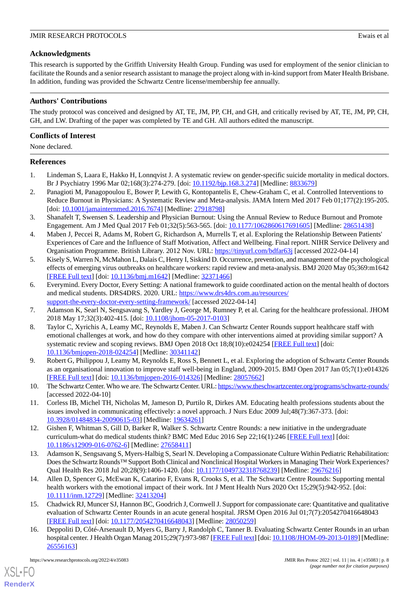# **Acknowledgments**

This research is supported by the Griffith University Health Group*.* Funding was used for employment of the senior clinician to facilitate the Rounds and a senior research assistant to manage the project along with in-kind support from Mater Health Brisbane. In addition, funding was provided the Schwartz Centre license/membership fee annually.

# **Authors' Contributions**

The study protocol was conceived and designed by AT, TE, JM, PP, CH, and GH, and critically revised by AT, TE, JM, PP, CH, GH, and LW. Drafting of the paper was completed by TE and GH. All authors edited the manuscript.

# **Conflicts of Interest**

None declared.

# <span id="page-7-0"></span>**References**

- 1. Lindeman S, Laara E, Hakko H, Lonnqvist J. A systematic review on gender-specific suicide mortality in medical doctors. Br J Psychiatry 1996 Mar 02;168(3):274-279. [doi: [10.1192/bjp.168.3.274](http://dx.doi.org/10.1192/bjp.168.3.274)] [Medline: [8833679](http://www.ncbi.nlm.nih.gov/entrez/query.fcgi?cmd=Retrieve&db=PubMed&list_uids=8833679&dopt=Abstract)]
- <span id="page-7-1"></span>2. Panagioti M, Panagopoulou E, Bower P, Lewith G, Kontopantelis E, Chew-Graham C, et al. Controlled Interventions to Reduce Burnout in Physicians: A Systematic Review and Meta-analysis. JAMA Intern Med 2017 Feb 01;177(2):195-205. [doi: [10.1001/jamainternmed.2016.7674](http://dx.doi.org/10.1001/jamainternmed.2016.7674)] [Medline: [27918798\]](http://www.ncbi.nlm.nih.gov/entrez/query.fcgi?cmd=Retrieve&db=PubMed&list_uids=27918798&dopt=Abstract)
- <span id="page-7-2"></span>3. Shanafelt T, Swensen S. Leadership and Physician Burnout: Using the Annual Review to Reduce Burnout and Promote Engagement. Am J Med Qual 2017 Feb 01;32(5):563-565. [doi: [10.1177/1062860617691605](http://dx.doi.org/10.1177/1062860617691605)] [Medline: [28651438](http://www.ncbi.nlm.nih.gov/entrez/query.fcgi?cmd=Retrieve&db=PubMed&list_uids=28651438&dopt=Abstract)]
- <span id="page-7-3"></span>4. Maben J, Peccei R, Adams M, Robert G, Richardson A, Murrells T, et al. Exploring the Relationship Between Patients' Experiences of Care and the Influence of Staff Motivation, Affect and Wellbeing. Final report. NIHR Service Delivery and Organisation Programme. British Library. 2012 Nov. URL:<https://tinyurl.com/bdfar63j> [accessed 2022-04-14]
- <span id="page-7-4"></span>5. Kisely S, Warren N, McMahon L, Dalais C, Henry I, Siskind D. Occurrence, prevention, and management of the psychological effects of emerging virus outbreaks on healthcare workers: rapid review and meta-analysis. BMJ 2020 May 05;369:m1642 [[FREE Full text](http://www.bmj.com/lookup/pmidlookup?view=long&pmid=32371466)] [doi: [10.1136/bmj.m1642\]](http://dx.doi.org/10.1136/bmj.m1642) [Medline: [32371466](http://www.ncbi.nlm.nih.gov/entrez/query.fcgi?cmd=Retrieve&db=PubMed&list_uids=32371466&dopt=Abstract)]
- <span id="page-7-6"></span><span id="page-7-5"></span>6. Everymind. Every Doctor, Every Setting: A national framework to guide coordinated action on the mental health of doctors and medical students. DRS4DRS. 2020. URL: [https://www.drs4drs.com.au/resources/](https://www.drs4drs.com.au/resources/support-the-every-doctor-every-setting-framework/) [support-the-every-doctor-every-setting-framework/](https://www.drs4drs.com.au/resources/support-the-every-doctor-every-setting-framework/) [accessed 2022-04-14]
- 7. Adamson K, Searl N, Sengsavang S, Yardley J, George M, Rumney P, et al. Caring for the healthcare professional. JHOM 2018 May 17;32(3):402-415. [doi: [10.1108/jhom-05-2017-0103\]](http://dx.doi.org/10.1108/jhom-05-2017-0103)
- <span id="page-7-7"></span>8. Taylor C, Xyrichis A, Leamy MC, Reynolds E, Maben J. Can Schwartz Center Rounds support healthcare staff with emotional challenges at work, and how do they compare with other interventions aimed at providing similar support? A systematic review and scoping reviews. BMJ Open 2018 Oct 18;8(10):e024254 [[FREE Full text](https://bmjopen.bmj.com/lookup/pmidlookup?view=long&pmid=30341142)] [doi: [10.1136/bmjopen-2018-024254\]](http://dx.doi.org/10.1136/bmjopen-2018-024254) [Medline: [30341142](http://www.ncbi.nlm.nih.gov/entrez/query.fcgi?cmd=Retrieve&db=PubMed&list_uids=30341142&dopt=Abstract)]
- <span id="page-7-9"></span><span id="page-7-8"></span>9. Robert G, Philippou J, Leamy M, Reynolds E, Ross S, Bennett L, et al. Exploring the adoption of Schwartz Center Rounds as an organisational innovation to improve staff well-being in England, 2009-2015. BMJ Open 2017 Jan 05;7(1):e014326 [[FREE Full text](https://bmjopen.bmj.com/lookup/pmidlookup?view=long&pmid=28057662)] [doi: [10.1136/bmjopen-2016-014326](http://dx.doi.org/10.1136/bmjopen-2016-014326)] [Medline: [28057662](http://www.ncbi.nlm.nih.gov/entrez/query.fcgi?cmd=Retrieve&db=PubMed&list_uids=28057662&dopt=Abstract)]
- <span id="page-7-10"></span>10. The Schwartz Center. Who we are. The Schwartz Center. URL:<https://www.theschwartzcenter.org/programs/schwartz-rounds/> [accessed 2022-04-10]
- <span id="page-7-11"></span>11. Corless IB, Michel TH, Nicholas M, Jameson D, Purtilo R, Dirkes AM. Educating health professions students about the issues involved in communicating effectively: a novel approach. J Nurs Educ 2009 Jul;48(7):367-373. [doi: [10.3928/01484834-20090615-03](http://dx.doi.org/10.3928/01484834-20090615-03)] [Medline: [19634261](http://www.ncbi.nlm.nih.gov/entrez/query.fcgi?cmd=Retrieve&db=PubMed&list_uids=19634261&dopt=Abstract)]
- <span id="page-7-12"></span>12. Gishen F, Whitman S, Gill D, Barker R, Walker S. Schwartz Centre Rounds: a new initiative in the undergraduate curriculum-what do medical students think? BMC Med Educ 2016 Sep 22;16(1):246 [[FREE Full text](https://bmcmededuc.biomedcentral.com/articles/10.1186/s12909-016-0762-6)] [doi: [10.1186/s12909-016-0762-6\]](http://dx.doi.org/10.1186/s12909-016-0762-6) [Medline: [27658411](http://www.ncbi.nlm.nih.gov/entrez/query.fcgi?cmd=Retrieve&db=PubMed&list_uids=27658411&dopt=Abstract)]
- <span id="page-7-14"></span>13. Adamson K, Sengsavang S, Myers-Halbig S, Searl N. Developing a Compassionate Culture Within Pediatric Rehabilitation: Does the Schwartz Rounds™ Support Both Clinical and Nonclinical Hospital Workers in Managing Their Work Experiences? Qual Health Res 2018 Jul 20;28(9):1406-1420. [doi: [10.1177/1049732318768239](http://dx.doi.org/10.1177/1049732318768239)] [Medline: [29676216\]](http://www.ncbi.nlm.nih.gov/entrez/query.fcgi?cmd=Retrieve&db=PubMed&list_uids=29676216&dopt=Abstract)
- <span id="page-7-13"></span>14. Allen D, Spencer G, McEwan K, Catarino F, Evans R, Crooks S, et al. The Schwartz Centre Rounds: Supporting mental health workers with the emotional impact of their work. Int J Ment Health Nurs 2020 Oct 15;29(5):942-952. [doi: [10.1111/inm.12729\]](http://dx.doi.org/10.1111/inm.12729) [Medline: [32413204\]](http://www.ncbi.nlm.nih.gov/entrez/query.fcgi?cmd=Retrieve&db=PubMed&list_uids=32413204&dopt=Abstract)
- 15. Chadwick RJ, Muncer SJ, Hannon BC, Goodrich J, Cornwell J. Support for compassionate care: Quantitative and qualitative evaluation of Schwartz Center Rounds in an acute general hospital. JRSM Open 2016 Jul 01;7(7):2054270416648043 [[FREE Full text](https://journals.sagepub.com/doi/10.1177/2054270416648043?url_ver=Z39.88-2003&rfr_id=ori:rid:crossref.org&rfr_dat=cr_pub%3dpubmed)] [doi: [10.1177/2054270416648043\]](http://dx.doi.org/10.1177/2054270416648043) [Medline: [28050259](http://www.ncbi.nlm.nih.gov/entrez/query.fcgi?cmd=Retrieve&db=PubMed&list_uids=28050259&dopt=Abstract)]
- 16. Deppoliti D, Côté-Arsenault D, Myers G, Barry J, Randolph C, Tanner B. Evaluating Schwartz Center Rounds in an urban hospital center. J Health Organ Manag 2015;29(7):973-987 [[FREE Full text](https://doi.org/10.1108/JHOM-09-2013-0189)] [doi: [10.1108/JHOM-09-2013-0189](http://dx.doi.org/10.1108/JHOM-09-2013-0189)] [Medline: [26556163](http://www.ncbi.nlm.nih.gov/entrez/query.fcgi?cmd=Retrieve&db=PubMed&list_uids=26556163&dopt=Abstract)]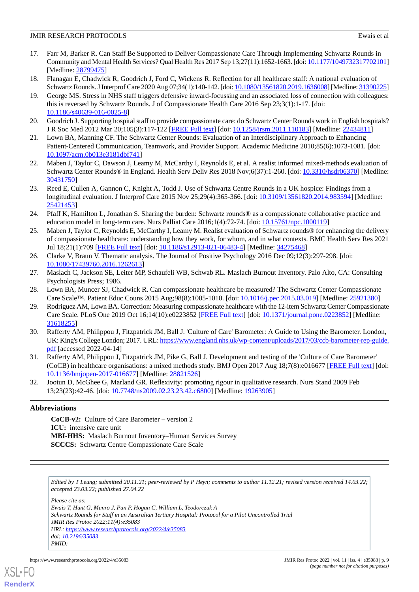- 17. Farr M, Barker R. Can Staff Be Supported to Deliver Compassionate Care Through Implementing Schwartz Rounds in Community and Mental Health Services? Qual Health Res 2017 Sep 13;27(11):1652-1663. [doi: [10.1177/1049732317702101\]](http://dx.doi.org/10.1177/1049732317702101) [Medline: [28799475](http://www.ncbi.nlm.nih.gov/entrez/query.fcgi?cmd=Retrieve&db=PubMed&list_uids=28799475&dopt=Abstract)]
- 18. Flanagan E, Chadwick R, Goodrich J, Ford C, Wickens R. Reflection for all healthcare staff: A national evaluation of Schwartz Rounds. J Interprof Care 2020 Aug 07;34(1):140-142. [doi: [10.1080/13561820.2019.1636008](http://dx.doi.org/10.1080/13561820.2019.1636008)] [Medline: [31390225\]](http://www.ncbi.nlm.nih.gov/entrez/query.fcgi?cmd=Retrieve&db=PubMed&list_uids=31390225&dopt=Abstract)
- 19. George MS. Stress in NHS staff triggers defensive inward-focussing and an associated loss of connection with colleagues: this is reversed by Schwartz Rounds. J of Compassionate Health Care 2016 Sep 23;3(1):1-17. [doi: [10.1186/s40639-016-0025-8\]](http://dx.doi.org/10.1186/s40639-016-0025-8)
- 20. Goodrich J. Supporting hospital staff to provide compassionate care: do Schwartz Center Rounds work in English hospitals? J R Soc Med 2012 Mar 20;105(3):117-122 [\[FREE Full text\]](http://europepmc.org/abstract/MED/22434811) [doi: [10.1258/jrsm.2011.110183](http://dx.doi.org/10.1258/jrsm.2011.110183)] [Medline: [22434811\]](http://www.ncbi.nlm.nih.gov/entrez/query.fcgi?cmd=Retrieve&db=PubMed&list_uids=22434811&dopt=Abstract)
- <span id="page-8-7"></span>21. Lown BA, Manning CF. The Schwartz Center Rounds: Evaluation of an Interdisciplinary Approach to Enhancing Patient-Centered Communication, Teamwork, and Provider Support. Academic Medicine 2010;85(6):1073-1081. [doi: [10.1097/acm.0b013e3181dbf741\]](http://dx.doi.org/10.1097/acm.0b013e3181dbf741)
- 22. Maben J, Taylor C, Dawson J, Leamy M, McCarthy I, Reynolds E, et al. A realist informed mixed-methods evaluation of Schwartz Center Rounds® in England. Health Serv Deliv Res 2018 Nov;6(37):1-260. [doi: [10.3310/hsdr06370\]](http://dx.doi.org/10.3310/hsdr06370) [Medline: [30431750](http://www.ncbi.nlm.nih.gov/entrez/query.fcgi?cmd=Retrieve&db=PubMed&list_uids=30431750&dopt=Abstract)]
- 23. Reed E, Cullen A, Gannon C, Knight A, Todd J. Use of Schwartz Centre Rounds in a UK hospice: Findings from a longitudinal evaluation. J Interprof Care 2015 Nov 25;29(4):365-366. [doi: [10.3109/13561820.2014.983594\]](http://dx.doi.org/10.3109/13561820.2014.983594) [Medline: [25421453](http://www.ncbi.nlm.nih.gov/entrez/query.fcgi?cmd=Retrieve&db=PubMed&list_uids=25421453&dopt=Abstract)]
- <span id="page-8-0"></span>24. Pfaff K, Hamilton L, Jonathan S. Sharing the burden: Schwartz rounds® as a compassionate collaborative practice and education model in long-term care. Nurs Palliat Care 2016;1(4):72-74. [doi: [10.15761/npc.1000119\]](http://dx.doi.org/10.15761/npc.1000119)
- <span id="page-8-1"></span>25. Maben J, Taylor C, Reynolds E, McCarthy I, Leamy M. Realist evaluation of Schwartz rounds® for enhancing the delivery of compassionate healthcare: understanding how they work, for whom, and in what contexts. BMC Health Serv Res 2021 Jul 18;21(1):709 [[FREE Full text](https://bmchealthservres.biomedcentral.com/articles/10.1186/s12913-021-06483-4)] [doi: [10.1186/s12913-021-06483-4\]](http://dx.doi.org/10.1186/s12913-021-06483-4) [Medline: [34275468](http://www.ncbi.nlm.nih.gov/entrez/query.fcgi?cmd=Retrieve&db=PubMed&list_uids=34275468&dopt=Abstract)]
- <span id="page-8-3"></span><span id="page-8-2"></span>26. Clarke V, Braun V. Thematic analysis. The Journal of Positive Psychology 2016 Dec 09;12(3):297-298. [doi: [10.1080/17439760.2016.1262613\]](http://dx.doi.org/10.1080/17439760.2016.1262613)
- <span id="page-8-4"></span>27. Maslach C, Jackson SE, Leiter MP, Schaufeli WB, Schwab RL. Maslach Burnout Inventory. Palo Alto, CA: Consulting Psychologists Press; 1986.
- 28. Lown BA, Muncer SJ, Chadwick R. Can compassionate healthcare be measured? The Schwartz Center Compassionate Care Scale™. Patient Educ Couns 2015 Aug;98(8):1005-1010. [doi: [10.1016/j.pec.2015.03.019](http://dx.doi.org/10.1016/j.pec.2015.03.019)] [Medline: [25921380\]](http://www.ncbi.nlm.nih.gov/entrez/query.fcgi?cmd=Retrieve&db=PubMed&list_uids=25921380&dopt=Abstract)
- <span id="page-8-5"></span>29. Rodriguez AM, Lown BA. Correction: Measuring compassionate healthcare with the 12-item Schwartz Center Compassionate Care Scale. PLoS One 2019 Oct 16;14(10):e0223852 [\[FREE Full text\]](https://dx.plos.org/10.1371/journal.pone.0223852) [doi: [10.1371/journal.pone.0223852](http://dx.doi.org/10.1371/journal.pone.0223852)] [Medline: [31618255](http://www.ncbi.nlm.nih.gov/entrez/query.fcgi?cmd=Retrieve&db=PubMed&list_uids=31618255&dopt=Abstract)]
- <span id="page-8-8"></span><span id="page-8-6"></span>30. Rafferty AM, Philippou J, Fitzpatrick JM, Ball J. 'Culture of Care' Barometer: A Guide to Using the Barometer. London, UK: King's College London; 2017. URL: [https://www.england.nhs.uk/wp-content/uploads/2017/03/ccb-barometer-rep-guide.](https://www.england.nhs.uk/wp-content/uploads/2017/03/ccb-barometer-rep-guide.pdf) [pdf](https://www.england.nhs.uk/wp-content/uploads/2017/03/ccb-barometer-rep-guide.pdf) [accessed 2022-04-14]
- 31. Rafferty AM, Philippou J, Fitzpatrick JM, Pike G, Ball J. Development and testing of the 'Culture of Care Barometer' (CoCB) in healthcare organisations: a mixed methods study. BMJ Open 2017 Aug 18;7(8):e016677 [\[FREE Full text](https://bmjopen.bmj.com/lookup/pmidlookup?view=long&pmid=28821526)] [doi: [10.1136/bmjopen-2017-016677\]](http://dx.doi.org/10.1136/bmjopen-2017-016677) [Medline: [28821526](http://www.ncbi.nlm.nih.gov/entrez/query.fcgi?cmd=Retrieve&db=PubMed&list_uids=28821526&dopt=Abstract)]
- 32. Jootun D, McGhee G, Marland GR. Reflexivity: promoting rigour in qualitative research. Nurs Stand 2009 Feb 13;23(23):42-46. [doi: [10.7748/ns2009.02.23.23.42.c6800\]](http://dx.doi.org/10.7748/ns2009.02.23.23.42.c6800) [Medline: [19263905](http://www.ncbi.nlm.nih.gov/entrez/query.fcgi?cmd=Retrieve&db=PubMed&list_uids=19263905&dopt=Abstract)]

# **Abbreviations**

**CoCB-v2:** Culture of Care Barometer – version 2 **ICU:** intensive care unit **MBI-HHS:** Maslach Burnout Inventory–Human Services Survey **SCCCS:** Schwartz Centre Compassionate Care Scale

*Edited by T Leung; submitted 20.11.21; peer-reviewed by P Heyn; comments to author 11.12.21; revised version received 14.03.22; accepted 23.03.22; published 27.04.22*

*Please cite as:*

*Ewais T, Hunt G, Munro J, Pun P, Hogan C, William L, Teodorczuk A Schwartz Rounds for Staff in an Australian Tertiary Hospital: Protocol for a Pilot Uncontrolled Trial JMIR Res Protoc 2022;11(4):e35083 URL: <https://www.researchprotocols.org/2022/4/e35083> doi: [10.2196/35083](http://dx.doi.org/10.2196/35083)*

*PMID:*